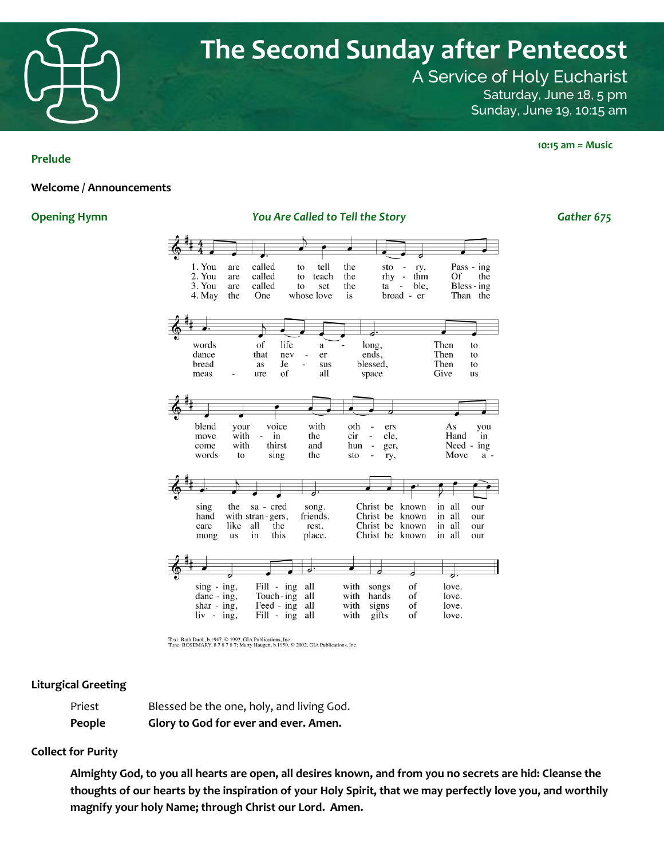

A Service of Holy Eucharist Saturday, June 18, 5 pm Sunday, June 19, 10:15 am

#### **Prelude**

#### **Welcome / Announcements**

**Opening Hymn** *You Are Called to Tell the Story Gather 675*

| 1. You<br>2. You<br>3. You<br>4. May   | called<br>are<br>called<br>are<br>called<br>are<br>the<br>One                                                    | tell<br>to<br>teach<br>to<br>to<br>set<br>whose love | the<br>sto<br>the<br>rhy<br>the<br>ta<br>is                                       | ry,<br>thm<br>$\overline{a}$<br>ble.<br>$\overline{\phantom{m}}$<br>broad - er | Of                                               | Pass - ing<br>the<br>Bless - ing<br>Than the |
|----------------------------------------|------------------------------------------------------------------------------------------------------------------|------------------------------------------------------|-----------------------------------------------------------------------------------|--------------------------------------------------------------------------------|--------------------------------------------------|----------------------------------------------|
| words<br>dance<br>bread                | $% \left( \left( \mathcal{A},\mathcal{A}\right) \right) =\left( \mathcal{A},\mathcal{A}\right)$ of<br>that<br>as | life<br>a<br>nev<br>er<br>Je<br>sus                  | long,<br>ends,<br>blessed,                                                        |                                                                                | Then<br>Then<br>Then                             | to<br>to<br>to                               |
| meas<br>blend<br>move<br>come<br>words | ure<br>voice<br>your<br>with<br>in<br>with<br>thirst<br>sing<br>to                                               | of<br>all<br>with<br>the<br>and<br>the               | space<br>oth<br>ers<br>cir<br>cle,<br>$\overline{a}$<br>hun<br>ger,<br>sto<br>ry, |                                                                                | Give<br>As<br>Hand<br>Need -<br>Move             | us<br>you<br>in<br>ing<br>$a -$              |
| sing<br>hand<br>care<br>mong           | the<br>sa - cred<br>with stran-gers,<br>like<br>all<br>the<br>this<br>in<br><b>us</b>                            | song.<br>friends.<br>rest.<br>place.                 | Christ be<br>Christ be<br>Christ be<br>Christ be                                  | known<br>known<br>known<br>known                                               | all<br>in<br>all<br>in<br>all<br>in<br>all<br>in | our<br>our<br>our<br>our                     |
| $sing - ing$ ,<br>$danc - ing$ ,       | Fill - ing<br>Touch-ing                                                                                          | J.<br>all<br>all                                     | with<br>songs<br>with<br>hands                                                    | of<br>of                                                                       | love.<br>love.                                   |                                              |

Text: Ruth Duck, b.1947, © 1992, GIA Publications, Inc.<br>Tune: ROSEMARY, 8 7 8 7 8 7; Marty Haugen, b.1950, © 2002, GIA Publications, Inc.

Feed -  $\log$  all

Fill - ing all

#### **Liturgical Greeting**

| People | Glory to God for ever and ever. Amen.     |
|--------|-------------------------------------------|
| Priest | Blessed be the one, holy, and living God. |

shar -  $ing$ ,

 $liv - ing$ ,

### **Collect for Purity**

**Almighty God, to you all hearts are open, all desires known, and from you no secrets are hid: Cleanse the thoughts of our hearts by the inspiration of your Holy Spirit, that we may perfectly love you, and worthily magnify your holy Name; through Christ our Lord. Amen.**

with signs

with gifts

love.

love.

of

of

 **10:15 am = Music**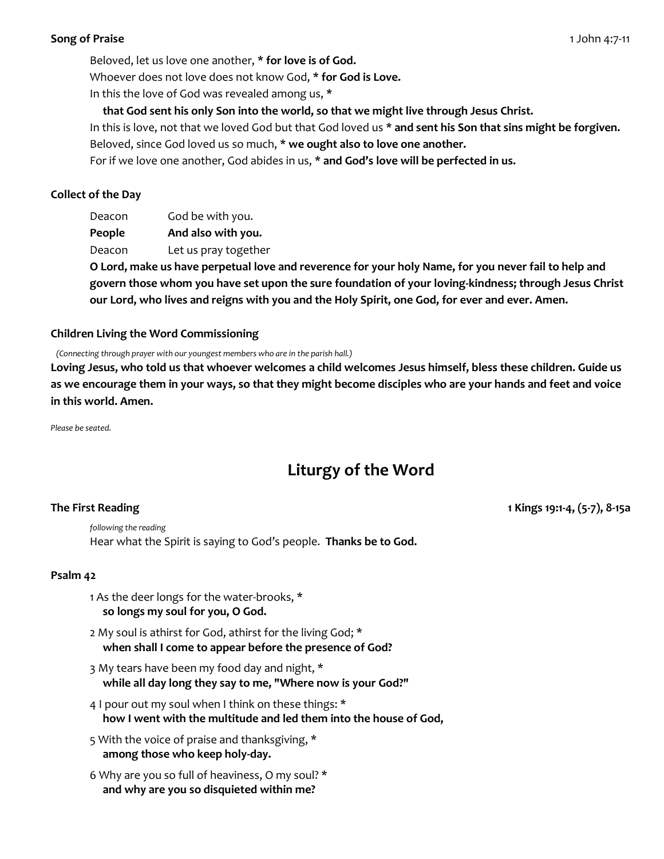# **Song of Praise** 1 John 4:7-11

Beloved, let us love one another, **\* for love is of God.**  Whoever does not love does not know God, **\* for God is Love.** 

In this the love of God was revealed among us, **\*** 

 **that God sent his only Son into the world, so that we might live through Jesus Christ.** 

In this is love, not that we loved God but that God loved us **\* and sent his Son that sins might be forgiven.**  Beloved, since God loved us so much, **\* we ought also to love one another.** 

For if we love one another, God abides in us, **\* and God's love will be perfected in us.**

# **Collect of the Day**

Deacon God be with you.

**People And also with you.** 

Deacon Let us pray together

**O Lord, make us have perpetual love and reverence for your holy Name, for you never fail to help and govern those whom you have set upon the sure foundation of your loving-kindness; through Jesus Christ our Lord, who lives and reigns with you and the Holy Spirit, one God, for ever and ever. Amen.**

# **Children Living the Word Commissioning**

 *(Connecting through prayer with our youngest members who are in the parish hall.)*

**Loving Jesus, who told us that whoever welcomes a child welcomes Jesus himself, bless these children. Guide us as we encourage them in your ways, so that they might become disciples who are your hands and feet and voice in this world. Amen.**

*Please be seated.*

# **Liturgy of the Word**

**The First Reading 1 Kings 19:1-4, (5-7), 8-15a**

*following the reading* Hear what the Spirit is saying to God's people. **Thanks be to God.**

# **Psalm 42**

- 1 As the deer longs for the water-brooks, \*  **so longs my soul for you, O God.**
- 2 My soul is athirst for God, athirst for the living God; \*  **when shall I come to appear before the presence of God?**
- 3 My tears have been my food day and night, \*  **while all day long they say to me, "Where now is your God?"**
- 4 I pour out my soul when I think on these things: \*  **how I went with the multitude and led them into the house of God,**
- 5 With the voice of praise and thanksgiving, \*  **among those who keep holy-day.**
- 6 Why are you so full of heaviness, O my soul? \*  **and why are you so disquieted within me?**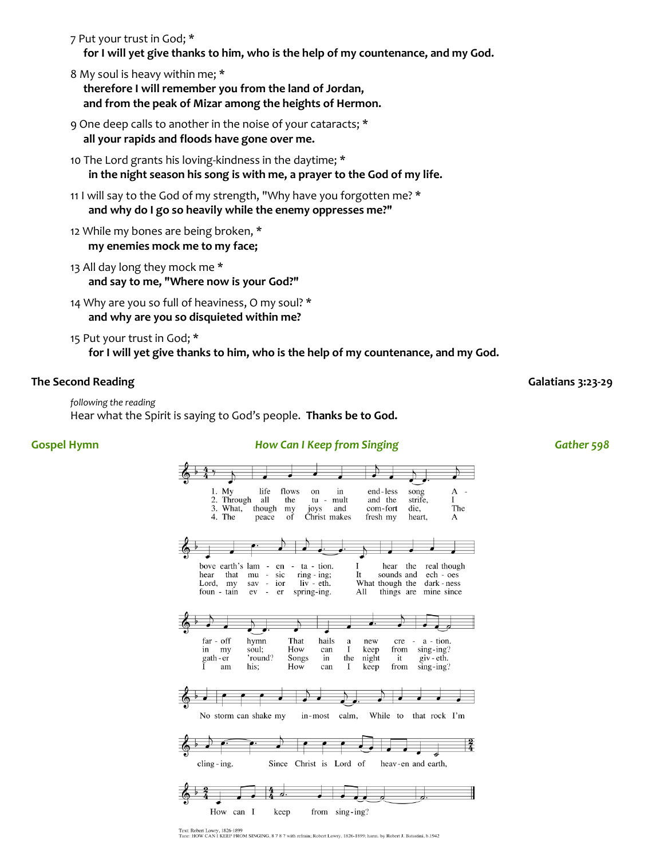7 Put your trust in God; \*

 **for I will yet give thanks to him, who is the help of my countenance, and my God.**

- 8 My soul is heavy within me; \*  **therefore I will remember you from the land of Jordan, and from the peak of Mizar among the heights of Hermon.**
- 9 One deep calls to another in the noise of your cataracts; \*  **all your rapids and floods have gone over me.**
- 10 The Lord grants his loving-kindness in the daytime; \*  **in the night season his song is with me, a prayer to the God of my life.**
- 11 I will say to the God of my strength, "Why have you forgotten me? \*  **and why do I go so heavily while the enemy oppresses me?"**
- 12 While my bones are being broken, \*  **my enemies mock me to my face;**
- 13 All day long they mock me \*  **and say to me, "Where now is your God?"**
- 14 Why are you so full of heaviness, O my soul? \*  **and why are you so disquieted within me?**
- 15 Put your trust in God; \*  **for I will yet give thanks to him, who is the help of my countenance, and my God.**

### **The Second Reading Galatians 3:23-29**

```
following the reading
Hear what the Spirit is saying to God's people. Thanks be to God.
```
### **Gospel Hymn** *How Can I Keep from Singing Gather 598*



Text: Robert Lowry, 1826-1899<br>Tune: HOW CAN I KEEP FROM SINGING, 8 7 8 7 with refrain; Robert Lowry, 1826-1899; harm. by Robert J. Batastini, b.1942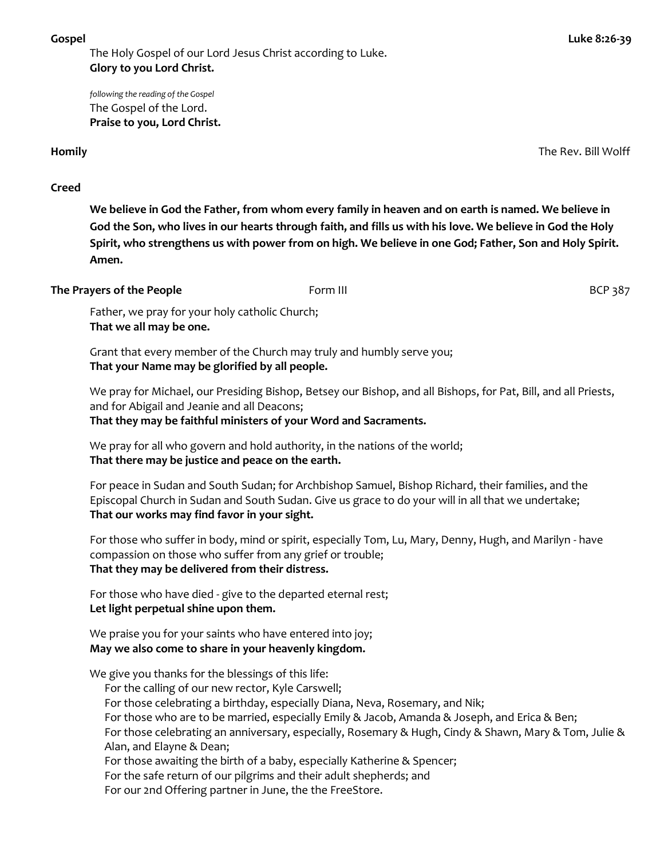The Holy Gospel of our Lord Jesus Christ according to Luke. **Glory to you Lord Christ.**

*following the reading of the Gospel* The Gospel of the Lord. **Praise to you, Lord Christ.**

**That we all may be one.**

#### **Homily** The Rev. Bill Wolff

**Creed**

**We believe in God the Father, from whom every family in heaven and on earth is named. We believe in God the Son, who lives in our hearts through faith, and fills us with his love. We believe in God the Holy Spirit, who strengthens us with power from on high. We believe in one God; Father, Son and Holy Spirit. Amen.**

| The Prayers of the People                      | Form III | BCP 387 |
|------------------------------------------------|----------|---------|
| Father, we pray for your holy catholic Church; |          |         |

Grant that every member of the Church may truly and humbly serve you;

**That your Name may be glorified by all people.**

We pray for Michael, our Presiding Bishop, Betsey our Bishop, and all Bishops, for Pat, Bill, and all Priests, and for Abigail and Jeanie and all Deacons;

**That they may be faithful ministers of your Word and Sacraments.**

We pray for all who govern and hold authority, in the nations of the world; **That there may be justice and peace on the earth.**

For peace in Sudan and South Sudan; for Archbishop Samuel, Bishop Richard, their families, and the Episcopal Church in Sudan and South Sudan. Give us grace to do your will in all that we undertake; **That our works may find favor in your sight.**

For those who suffer in body, mind or spirit, especially Tom, Lu, Mary, Denny, Hugh, and Marilyn - have compassion on those who suffer from any grief or trouble; **That they may be delivered from their distress.**

For those who have died - give to the departed eternal rest; **Let light perpetual shine upon them.**

We praise you for your saints who have entered into joy; **May we also come to share in your heavenly kingdom.**

We give you thanks for the blessings of this life:

For the calling of our new rector, Kyle Carswell;

For those celebrating a birthday, especially Diana, Neva, Rosemary, and Nik;

For those who are to be married, especially Emily & Jacob, Amanda & Joseph, and Erica & Ben;

For those celebrating an anniversary, especially, Rosemary & Hugh, Cindy & Shawn, Mary & Tom, Julie & Alan, and Elayne & Dean;

For those awaiting the birth of a baby, especially Katherine & Spencer;

For the safe return of our pilgrims and their adult shepherds; and

For our 2nd Offering partner in June, the the FreeStore.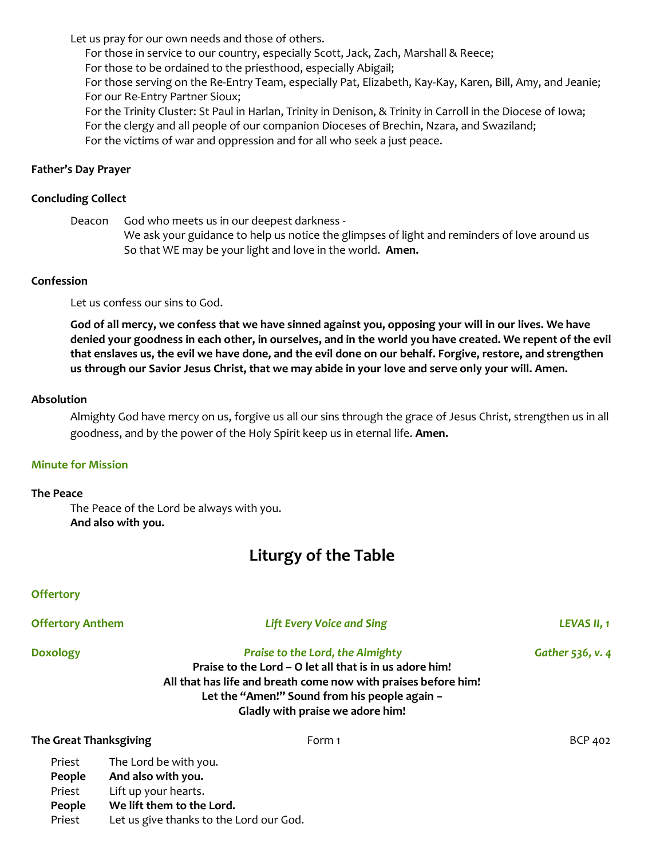Let us pray for our own needs and those of others.

For those in service to our country, especially Scott, Jack, Zach, Marshall & Reece;

For those to be ordained to the priesthood, especially Abigail;

For those serving on the Re-Entry Team, especially Pat, Elizabeth, Kay-Kay, Karen, Bill, Amy, and Jeanie; For our Re-Entry Partner Sioux;

For the Trinity Cluster: St Paul in Harlan, Trinity in Denison, & Trinity in Carroll in the Diocese of Iowa; For the clergy and all people of our companion Dioceses of Brechin, Nzara, and Swaziland; For the victims of war and oppression and for all who seek a just peace.

# **Father's Day Prayer**

# **Concluding Collect**

Deacon God who meets us in our deepest darkness - We ask your guidance to help us notice the glimpses of light and reminders of love around us So that WE may be your light and love in the world. **Amen.**

# **Confession**

Let us confess our sins to God.

**God of all mercy, we confess that we have sinned against you, opposing your will in our lives. We have denied your goodness in each other, in ourselves, and in the world you have created. We repent of the evil that enslaves us, the evil we have done, and the evil done on our behalf. Forgive, restore, and strengthen us through our Savior Jesus Christ, that we may abide in your love and serve only your will. Amen.**

# **Absolution**

Almighty God have mercy on us, forgive us all our sins through the grace of Jesus Christ, strengthen us in all goodness, and by the power of the Holy Spirit keep us in eternal life. **Amen.**

# **Minute for Mission**

### **The Peace**

The Peace of the Lord be always with you.  **And also with you.**

# **Liturgy of the Table**

# **Offertory**

| <b>Offertory Anthem</b>              |                                                                                                  | <b>Lift Every Voice and Sing</b> | LEVAS II, 1 |
|--------------------------------------|--------------------------------------------------------------------------------------------------|----------------------------------|-------------|
| <b>Doxology</b>                      | Gather 536, v. 4<br>All that has life and breath come now with praises before him!               |                                  |             |
| <b>The Great Thanksgiving</b>        |                                                                                                  | Form 1                           | BCP 402     |
| Priest<br>People<br>Priest<br>People | The Lord be with you.<br>And also with you.<br>Lift up your hearts.<br>We lift them to the Lord. |                                  |             |

Priest Let us give thanks to the Lord our God.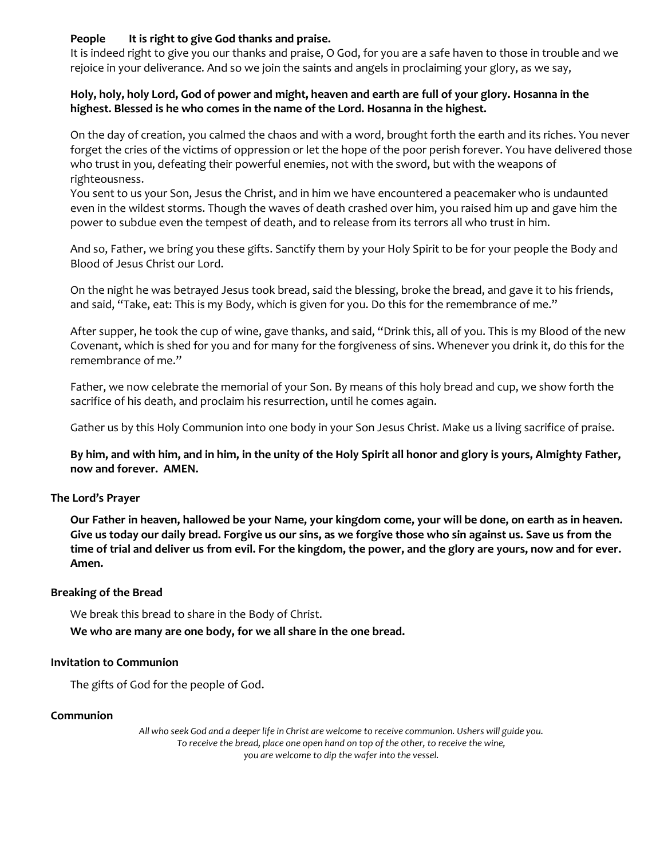# **People It is right to give God thanks and praise.**

It is indeed right to give you our thanks and praise, O God, for you are a safe haven to those in trouble and we rejoice in your deliverance. And so we join the saints and angels in proclaiming your glory, as we say,

### **Holy, holy, holy Lord, God of power and might, heaven and earth are full of your glory. Hosanna in the highest. Blessed is he who comes in the name of the Lord. Hosanna in the highest.**

On the day of creation, you calmed the chaos and with a word, brought forth the earth and its riches. You never forget the cries of the victims of oppression or let the hope of the poor perish forever. You have delivered those who trust in you, defeating their powerful enemies, not with the sword, but with the weapons of righteousness.

You sent to us your Son, Jesus the Christ, and in him we have encountered a peacemaker who is undaunted even in the wildest storms. Though the waves of death crashed over him, you raised him up and gave him the power to subdue even the tempest of death, and to release from its terrors all who trust in him.

And so, Father, we bring you these gifts. Sanctify them by your Holy Spirit to be for your people the Body and Blood of Jesus Christ our Lord.

On the night he was betrayed Jesus took bread, said the blessing, broke the bread, and gave it to his friends, and said, "Take, eat: This is my Body, which is given for you. Do this for the remembrance of me."

After supper, he took the cup of wine, gave thanks, and said, "Drink this, all of you. This is my Blood of the new Covenant, which is shed for you and for many for the forgiveness of sins. Whenever you drink it, do this for the remembrance of me."

Father, we now celebrate the memorial of your Son. By means of this holy bread and cup, we show forth the sacrifice of his death, and proclaim his resurrection, until he comes again.

Gather us by this Holy Communion into one body in your Son Jesus Christ. Make us a living sacrifice of praise.

**By him, and with him, and in him, in the unity of the Holy Spirit all honor and glory is yours, Almighty Father, now and forever. AMEN.**

# **The Lord's Prayer**

**Our Father in heaven, hallowed be your Name, your kingdom come, your will be done, on earth as in heaven. Give us today our daily bread. Forgive us our sins, as we forgive those who sin against us. Save us from the time of trial and deliver us from evil. For the kingdom, the power, and the glory are yours, now and for ever. Amen.**

### **Breaking of the Bread**

We break this bread to share in the Body of Christ.

**We who are many are one body, for we all share in the one bread.**

### **Invitation to Communion**

The gifts of God for the people of God.

### **Communion**

*All who seek God and a deeper life in Christ are welcome to receive communion. Ushers will guide you. To receive the bread, place one open hand on top of the other, to receive the wine, you are welcome to dip the wafer into the vessel.*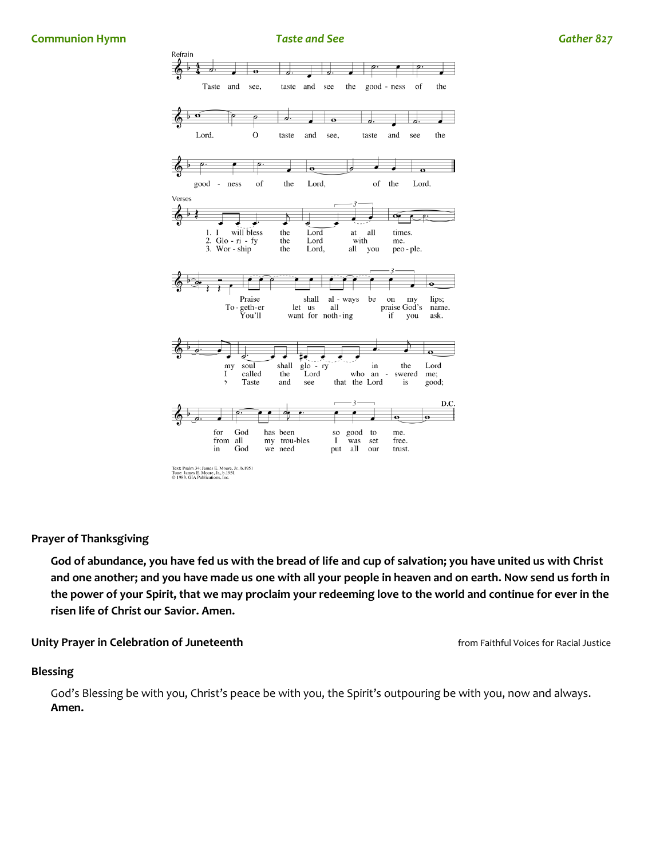

**Prayer of Thanksgiving**

**God of abundance, you have fed us with the bread of life and cup of salvation; you have united us with Christ and one another; and you have made us one with all your people in heaven and on earth. Now send us forth in the power of your Spirit, that we may proclaim your redeeming love to the world and continue for ever in the risen life of Christ our Savior. Amen.**

**Unity Prayer in Celebration of Juneteenth** *Company of Current and Tunet and Tunet and Tunet and Tunet Area and Tunet Area and Tunet and Tunet and Tunet Area and Tunet Area and Tunet Area and Tunet Area and Tunet Area an* 

#### **Blessing**

God's Blessing be with you, Christ's peace be with you, the Spirit's outpouring be with you, now and always. **Amen.**